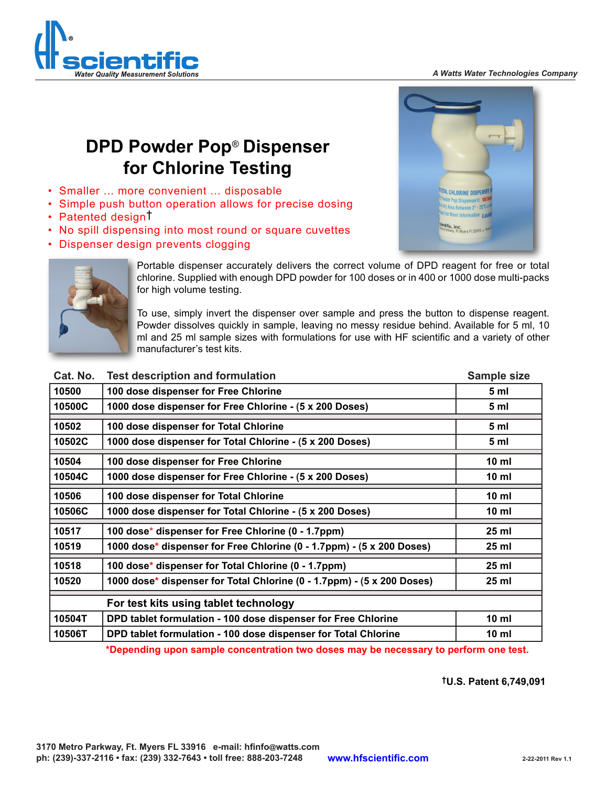

## *A Watts Water Technologies Company*

## **DPD Powder Pop***®* **Dispenser for Chlorine Testing**

- Smaller ... more convenient ... disposable
- Simple push button operation allows for precise dosing
- Patented design<sup>†</sup>
- No spill dispensing into most round or square cuvettes
- Dispenser design prevents clogging





Portable dispenser accurately delivers the correct volume of DPD reagent for free or total chlorine. Supplied with enough DPD powder for 100 doses or in 400 or 1000 dose multi-packs for high volume testing.

To use, simply invert the dispenser over sample and press the button to dispense reagent. Powder dissolves quickly in sample, leaving no messy residue behind. Available for 5 ml, 10 ml and 25 ml sample sizes with formulations for use with HF scientific and a variety of other manufacturer's test kits.

| Cat. No.                              | <b>Test description and formulation</b>                                | <b>Sample size</b> |  |  |
|---------------------------------------|------------------------------------------------------------------------|--------------------|--|--|
| 10500                                 | 100 dose dispenser for Free Chlorine                                   | 5 <sub>m</sub>     |  |  |
| 10500C                                | 1000 dose dispenser for Free Chlorine - (5 x 200 Doses)                | 5 <sub>m</sub>     |  |  |
| 10502                                 | 100 dose dispenser for Total Chlorine                                  | 5 <sub>m</sub>     |  |  |
| 10502C                                | 1000 dose dispenser for Total Chlorine - (5 x 200 Doses)               | 5 ml               |  |  |
| 10504                                 | 100 dose dispenser for Free Chlorine                                   | $10 \mathrm{m}$    |  |  |
| 10504C                                | 1000 dose dispenser for Free Chlorine - (5 x 200 Doses)                | 10 <sub>m1</sub>   |  |  |
| 10506                                 | 100 dose dispenser for Total Chlorine                                  | $10 \mathrm{m}$    |  |  |
| 10506C                                | 1000 dose dispenser for Total Chlorine - (5 x 200 Doses)               | 10 <sub>m</sub>    |  |  |
| 10517                                 | 100 dose* dispenser for Free Chlorine (0 - 1.7ppm)                     | 25 ml              |  |  |
| 10519                                 | 1000 dose* dispenser for Free Chlorine (0 - 1.7ppm) - (5 x 200 Doses)  | 25 ml              |  |  |
| 10518                                 | 100 dose* dispenser for Total Chlorine (0 - 1.7ppm)                    | 25 ml              |  |  |
| 10520                                 | 1000 dose* dispenser for Total Chlorine (0 - 1.7ppm) - (5 x 200 Doses) | 25 ml              |  |  |
| For test kits using tablet technology |                                                                        |                    |  |  |
| 10504T                                | DPD tablet formulation - 100 dose dispenser for Free Chlorine          | 10 <sub>m</sub>    |  |  |
| 10506T                                | DPD tablet formulation - 100 dose dispenser for Total Chlorine         | 10 <sub>m</sub>    |  |  |

**\*Depending upon sample concentration two doses may be necessary to perform one test.**

**†U.S. Patent 6,749,091**